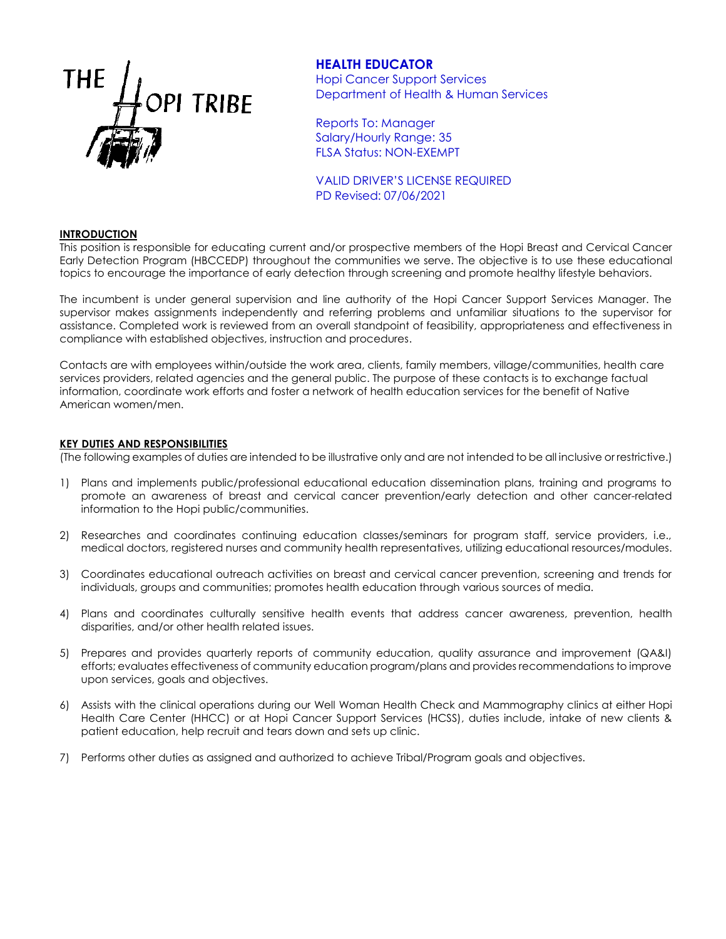

# **HEALTH EDUCATOR**

Hopi Cancer Support Services Department of Health & Human Services

Reports To: Manager Salary/Hourly Range: 35 FLSA Status: NON-EXEMPT

VALID DRIVER'S LICENSE REQUIRED PD Revised: 07/06/2021

#### **INTRODUCTION**

This position is responsible for educating current and/or prospective members of the Hopi Breast and Cervical Cancer Early Detection Program (HBCCEDP) throughout the communities we serve. The objective is to use these educational topics to encourage the importance of early detection through screening and promote healthy lifestyle behaviors.

The incumbent is under general supervision and line authority of the Hopi Cancer Support Services Manager. The supervisor makes assignments independently and referring problems and unfamiliar situations to the supervisor for assistance. Completed work is reviewed from an overall standpoint of feasibility, appropriateness and effectiveness in compliance with established objectives, instruction and procedures.

Contacts are with employees within/outside the work area, clients, family members, village/communities, health care services providers, related agencies and the general public. The purpose of these contacts is to exchange factual information, coordinate work efforts and foster a network of health education services for the benefit of Native American women/men.

#### **KEY DUTIES AND RESPONSIBILITIES**

(The following examples of duties are intended to be illustrative only and are not intended to be all inclusive or restrictive.)

- 1) Plans and implements public/professional educational education dissemination plans, training and programs to promote an awareness of breast and cervical cancer prevention/early detection and other cancer-related information to the Hopi public/communities.
- 2) Researches and coordinates continuing education classes/seminars for program staff, service providers, i.e., medical doctors, registered nurses and community health representatives, utilizing educational resources/modules.
- 3) Coordinates educational outreach activities on breast and cervical cancer prevention, screening and trends for individuals, groups and communities; promotes health education through various sources of media.
- 4) Plans and coordinates culturally sensitive health events that address cancer awareness, prevention, health disparities, and/or other health related issues.
- 5) Prepares and provides quarterly reports of community education, quality assurance and improvement (QA&I) efforts; evaluates effectiveness of community education program/plans and provides recommendations to improve upon services, goals and objectives.
- 6) Assists with the clinical operations during our Well Woman Health Check and Mammography clinics at either Hopi Health Care Center (HHCC) or at Hopi Cancer Support Services (HCSS), duties include, intake of new clients & patient education, help recruit and tears down and sets up clinic.
- 7) Performs other duties as assigned and authorized to achieve Tribal/Program goals and objectives.